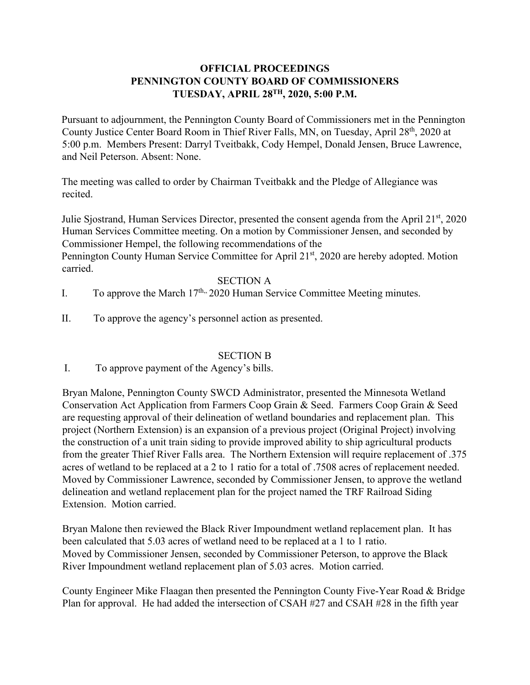# **OFFICIAL PROCEEDINGS PENNINGTON COUNTY BOARD OF COMMISSIONERS TUESDAY, APRIL 28TH, 2020, 5:00 P.M.**

Pursuant to adjournment, the Pennington County Board of Commissioners met in the Pennington County Justice Center Board Room in Thief River Falls, MN, on Tuesday, April 28<sup>th</sup>, 2020 at 5:00 p.m. Members Present: Darryl Tveitbakk, Cody Hempel, Donald Jensen, Bruce Lawrence, and Neil Peterson. Absent: None.

The meeting was called to order by Chairman Tveitbakk and the Pledge of Allegiance was recited.

Julie Sjostrand, Human Services Director, presented the consent agenda from the April  $21<sup>st</sup>$ , 2020 Human Services Committee meeting. On a motion by Commissioner Jensen, and seconded by Commissioner Hempel, the following recommendations of the Pennington County Human Service Committee for April 21st, 2020 are hereby adopted. Motion carried.

#### SECTION A

- I. To approve the March  $17<sup>th</sup>$ , 2020 Human Service Committee Meeting minutes.
- II. To approve the agency's personnel action as presented.

#### SECTION B

I. To approve payment of the Agency's bills.

Bryan Malone, Pennington County SWCD Administrator, presented the Minnesota Wetland Conservation Act Application from Farmers Coop Grain & Seed. Farmers Coop Grain & Seed are requesting approval of their delineation of wetland boundaries and replacement plan. This project (Northern Extension) is an expansion of a previous project (Original Project) involving the construction of a unit train siding to provide improved ability to ship agricultural products from the greater Thief River Falls area. The Northern Extension will require replacement of .375 acres of wetland to be replaced at a 2 to 1 ratio for a total of .7508 acres of replacement needed. Moved by Commissioner Lawrence, seconded by Commissioner Jensen, to approve the wetland delineation and wetland replacement plan for the project named the TRF Railroad Siding Extension. Motion carried.

Bryan Malone then reviewed the Black River Impoundment wetland replacement plan. It has been calculated that 5.03 acres of wetland need to be replaced at a 1 to 1 ratio. Moved by Commissioner Jensen, seconded by Commissioner Peterson, to approve the Black River Impoundment wetland replacement plan of 5.03 acres. Motion carried.

County Engineer Mike Flaagan then presented the Pennington County Five-Year Road & Bridge Plan for approval. He had added the intersection of CSAH #27 and CSAH #28 in the fifth year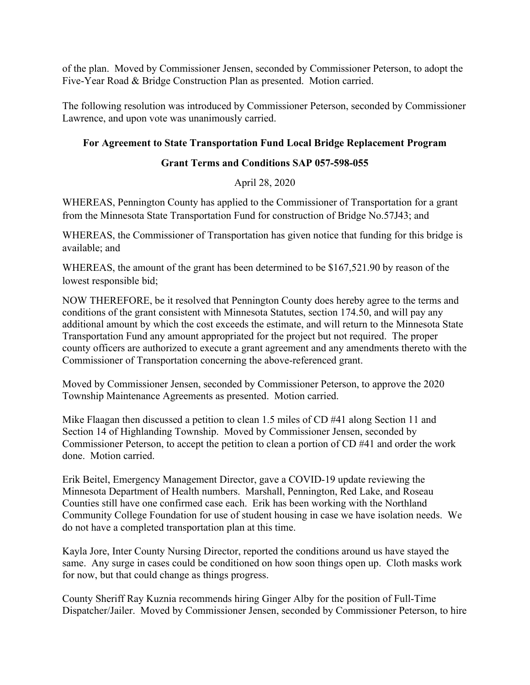of the plan. Moved by Commissioner Jensen, seconded by Commissioner Peterson, to adopt the Five-Year Road & Bridge Construction Plan as presented. Motion carried.

The following resolution was introduced by Commissioner Peterson, seconded by Commissioner Lawrence, and upon vote was unanimously carried.

## **For Agreement to State Transportation Fund Local Bridge Replacement Program**

## **Grant Terms and Conditions SAP 057-598-055**

# April 28, 2020

WHEREAS, Pennington County has applied to the Commissioner of Transportation for a grant from the Minnesota State Transportation Fund for construction of Bridge No.57J43; and

WHEREAS, the Commissioner of Transportation has given notice that funding for this bridge is available; and

WHEREAS, the amount of the grant has been determined to be \$167,521.90 by reason of the lowest responsible bid;

NOW THEREFORE, be it resolved that Pennington County does hereby agree to the terms and conditions of the grant consistent with Minnesota Statutes, section 174.50, and will pay any additional amount by which the cost exceeds the estimate, and will return to the Minnesota State Transportation Fund any amount appropriated for the project but not required. The proper county officers are authorized to execute a grant agreement and any amendments thereto with the Commissioner of Transportation concerning the above-referenced grant.

Moved by Commissioner Jensen, seconded by Commissioner Peterson, to approve the 2020 Township Maintenance Agreements as presented. Motion carried.

Mike Flaagan then discussed a petition to clean 1.5 miles of CD #41 along Section 11 and Section 14 of Highlanding Township. Moved by Commissioner Jensen, seconded by Commissioner Peterson, to accept the petition to clean a portion of CD #41 and order the work done. Motion carried.

Erik Beitel, Emergency Management Director, gave a COVID-19 update reviewing the Minnesota Department of Health numbers. Marshall, Pennington, Red Lake, and Roseau Counties still have one confirmed case each. Erik has been working with the Northland Community College Foundation for use of student housing in case we have isolation needs. We do not have a completed transportation plan at this time.

Kayla Jore, Inter County Nursing Director, reported the conditions around us have stayed the same. Any surge in cases could be conditioned on how soon things open up. Cloth masks work for now, but that could change as things progress.

County Sheriff Ray Kuznia recommends hiring Ginger Alby for the position of Full-Time Dispatcher/Jailer. Moved by Commissioner Jensen, seconded by Commissioner Peterson, to hire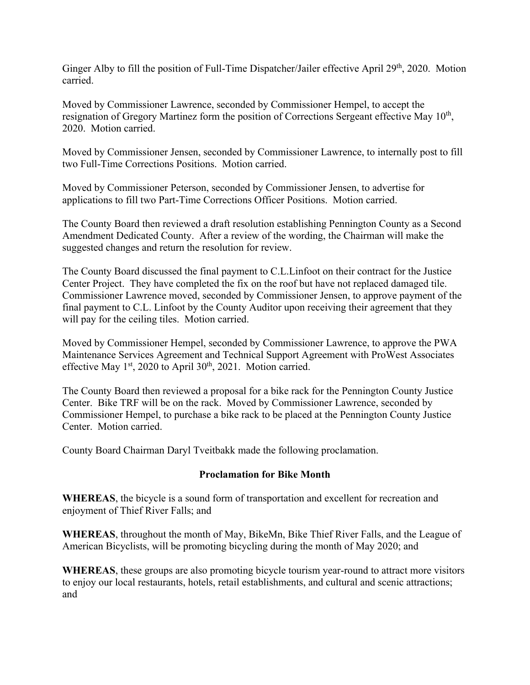Ginger Alby to fill the position of Full-Time Dispatcher/Jailer effective April 29<sup>th</sup>, 2020. Motion carried.

Moved by Commissioner Lawrence, seconded by Commissioner Hempel, to accept the resignation of Gregory Martinez form the position of Corrections Sergeant effective May 10<sup>th</sup>, 2020. Motion carried.

Moved by Commissioner Jensen, seconded by Commissioner Lawrence, to internally post to fill two Full-Time Corrections Positions. Motion carried.

Moved by Commissioner Peterson, seconded by Commissioner Jensen, to advertise for applications to fill two Part-Time Corrections Officer Positions. Motion carried.

The County Board then reviewed a draft resolution establishing Pennington County as a Second Amendment Dedicated County. After a review of the wording, the Chairman will make the suggested changes and return the resolution for review.

The County Board discussed the final payment to C.L.Linfoot on their contract for the Justice Center Project. They have completed the fix on the roof but have not replaced damaged tile. Commissioner Lawrence moved, seconded by Commissioner Jensen, to approve payment of the final payment to C.L. Linfoot by the County Auditor upon receiving their agreement that they will pay for the ceiling tiles. Motion carried.

Moved by Commissioner Hempel, seconded by Commissioner Lawrence, to approve the PWA Maintenance Services Agreement and Technical Support Agreement with ProWest Associates effective May  $1<sup>st</sup>$ , 2020 to April 30<sup>th</sup>, 2021. Motion carried.

The County Board then reviewed a proposal for a bike rack for the Pennington County Justice Center. Bike TRF will be on the rack. Moved by Commissioner Lawrence, seconded by Commissioner Hempel, to purchase a bike rack to be placed at the Pennington County Justice Center. Motion carried.

County Board Chairman Daryl Tveitbakk made the following proclamation.

#### **Proclamation for Bike Month**

**WHEREAS**, the bicycle is a sound form of transportation and excellent for recreation and enjoyment of Thief River Falls; and

**WHEREAS**, throughout the month of May, BikeMn, Bike Thief River Falls, and the League of American Bicyclists, will be promoting bicycling during the month of May 2020; and

**WHEREAS**, these groups are also promoting bicycle tourism year-round to attract more visitors to enjoy our local restaurants, hotels, retail establishments, and cultural and scenic attractions; and